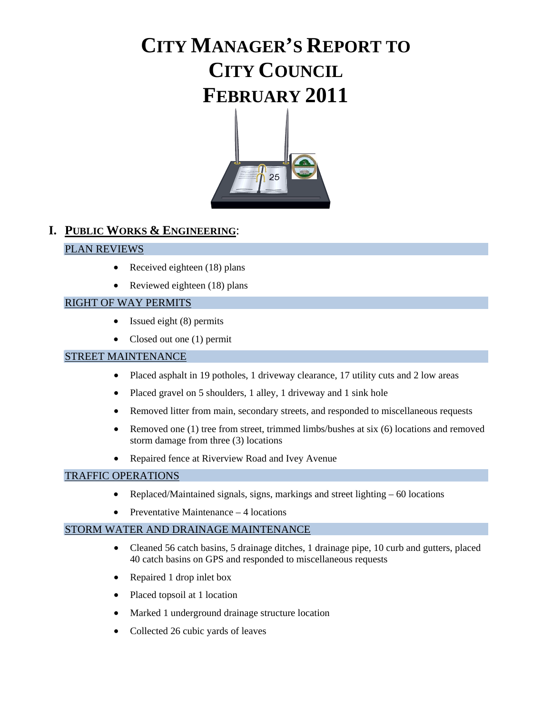# **CITY MANAGER'S REPORT TO CITY COUNCIL FEBRUARY 2011**



# **I. PUBLIC WORKS & ENGINEERING**:

## PLAN REVIEWS

- Received eighteen (18) plans
- Reviewed eighteen (18) plans

## RIGHT OF WAY PERMITS

- Issued eight (8) permits
- Closed out one (1) permit

### STREET MAINTENANCE

- Placed asphalt in 19 potholes, 1 driveway clearance, 17 utility cuts and 2 low areas
- Placed gravel on 5 shoulders, 1 alley, 1 driveway and 1 sink hole
- Removed litter from main, secondary streets, and responded to miscellaneous requests
- Removed one (1) tree from street, trimmed limbs/bushes at six (6) locations and removed storm damage from three (3) locations
- Repaired fence at Riverview Road and Ivey Avenue

#### TRAFFIC OPERATIONS

- Replaced/Maintained signals, signs, markings and street lighting 60 locations
- Preventative Maintenance 4 locations

#### STORM WATER AND DRAINAGE MAINTENANCE

- Cleaned 56 catch basins, 5 drainage ditches, 1 drainage pipe, 10 curb and gutters, placed 40 catch basins on GPS and responded to miscellaneous requests
- Repaired 1 drop inlet box
- Placed topsoil at 1 location
- Marked 1 underground drainage structure location
- Collected 26 cubic yards of leaves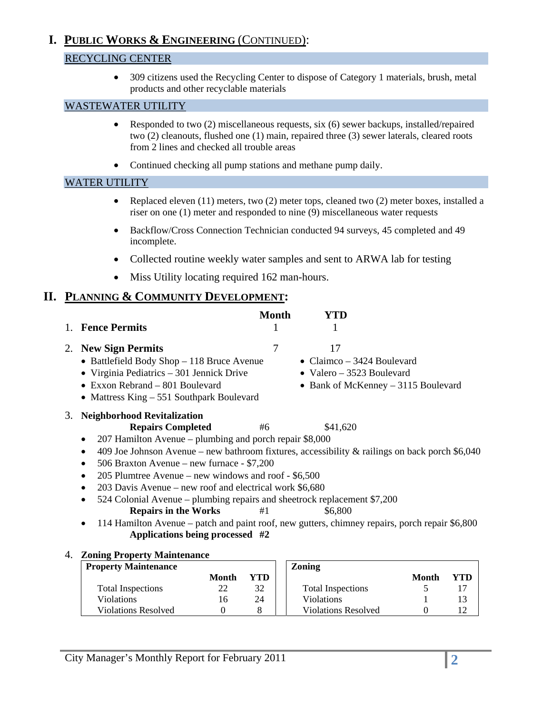# **I. PUBLIC WORKS & ENGINEERING** (CONTINUED):

# RECYCLING CENTER

• 309 citizens used the Recycling Center to dispose of Category 1 materials, brush, metal products and other recyclable materials

# WASTEWATER UTILITY

- Responded to two (2) miscellaneous requests, six (6) sewer backups, installed/repaired two (2) cleanouts, flushed one (1) main, repaired three (3) sewer laterals, cleared roots from 2 lines and checked all trouble areas
- Continued checking all pump stations and methane pump daily.

## WATER UTILITY

- Replaced eleven (11) meters, two (2) meter tops, cleaned two (2) meter boxes, installed a riser on one (1) meter and responded to nine (9) miscellaneous water requests
- Backflow/Cross Connection Technician conducted 94 surveys, 45 completed and 49 incomplete.
- Collected routine weekly water samples and sent to ARWA lab for testing
- Miss Utility locating required 162 man-hours.

# **II. PLANNING & COMMUNITY DEVELOPMENT:**

|    |                                                                                                                                                                                                                                                                                                                                                                                                                                                                                                                                                                                                                                                                                           |              | <b>Month</b> | YTD                                                                                                   |              |     |
|----|-------------------------------------------------------------------------------------------------------------------------------------------------------------------------------------------------------------------------------------------------------------------------------------------------------------------------------------------------------------------------------------------------------------------------------------------------------------------------------------------------------------------------------------------------------------------------------------------------------------------------------------------------------------------------------------------|--------------|--------------|-------------------------------------------------------------------------------------------------------|--------------|-----|
|    | <b>Fence Permits</b>                                                                                                                                                                                                                                                                                                                                                                                                                                                                                                                                                                                                                                                                      |              | 1            |                                                                                                       |              |     |
| 2. | <b>New Sign Permits</b><br>• Battlefield Body Shop - 118 Bruce Avenue<br>• Virginia Pediatrics – 301 Jennick Drive<br>$\bullet$ Exxon Rebrand – 801 Boulevard<br>• Mattress King - 551 Southpark Boulevard                                                                                                                                                                                                                                                                                                                                                                                                                                                                                |              | 7            | 17<br>• Claimco – 3424 Boulevard<br>• Valero $-3523$ Boulevard<br>• Bank of McKenney – 3115 Boulevard |              |     |
| 3. | <b>Neighborhood Revitalization</b><br><b>Repairs Completed</b><br>207 Hamilton Avenue – plumbing and porch repair \$8,000<br>409 Joe Johnson Avenue – new bathroom fixtures, accessibility & railings on back porch $$6,040$<br>$\bullet$<br>506 Braxton Avenue – new furnace - \$7,200<br>٠<br>205 Plumtree Avenue – new windows and roof - \$6,500<br>$\bullet$<br>203 Davis Avenue – new roof and electrical work \$6,680<br>524 Colonial Avenue – plumbing repairs and sheetrock replacement \$7,200<br><b>Repairs in the Works</b><br>114 Hamilton Avenue – patch and paint roof, new gutters, chimney repairs, porch repair \$6,800<br>$\bullet$<br>Applications being processed #2 |              | #6<br>#1     | \$41,620<br>\$6,800                                                                                   |              |     |
| 4. | <b>Zoning Property Maintenance</b>                                                                                                                                                                                                                                                                                                                                                                                                                                                                                                                                                                                                                                                        |              |              |                                                                                                       |              |     |
|    | <b>Property Maintenance</b>                                                                                                                                                                                                                                                                                                                                                                                                                                                                                                                                                                                                                                                               | <b>Month</b> | YTD          | <b>Zoning</b>                                                                                         | <b>Month</b> | YTD |
|    | <b>Total Inspections</b>                                                                                                                                                                                                                                                                                                                                                                                                                                                                                                                                                                                                                                                                  | 22           | 32           | <b>Total Inspections</b>                                                                              | 5            | 17  |

Violations 16 24 Violations 1 13 Violations Resolved 0 8 Violations Resolved 0 12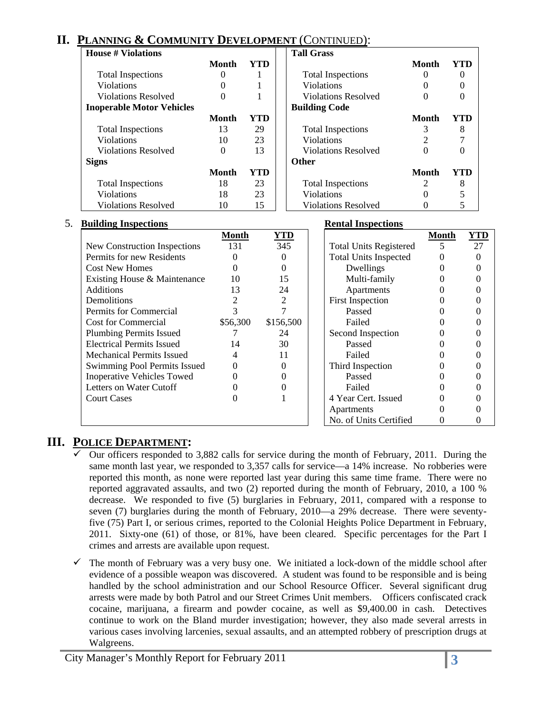# **II. PLANNING & COMMUNITY DEVELOPMENT** (CONTINUED):

| House # Violations               |       |            | <b>Tall Grass</b>          |              |     |
|----------------------------------|-------|------------|----------------------------|--------------|-----|
|                                  | Month | <b>YTD</b> |                            | Month        | YTD |
| <b>Total Inspections</b>         |       |            | <b>Total Inspections</b>   | 0            |     |
| <b>Violations</b>                |       |            | <b>Violations</b>          |              |     |
| <b>Violations Resolved</b>       |       |            | <b>Violations Resolved</b> |              |     |
| <b>Inoperable Motor Vehicles</b> |       |            | <b>Building Code</b>       |              |     |
|                                  | Month | YTD        |                            | <b>Month</b> | YTD |
| <b>Total Inspections</b>         | 13    | 29         | <b>Total Inspections</b>   | 3            | 8   |
| <b>Violations</b>                | 10    | 23         | <b>Violations</b>          |              |     |
| <b>Violations Resolved</b>       | 0     | 13         | <b>Violations Resolved</b> |              |     |
| <b>Signs</b>                     |       |            | <b>Other</b>               |              |     |
|                                  | Month | YTD        |                            | Month        | YTD |
| <b>Total Inspections</b>         | 18    | 23         | <b>Total Inspections</b>   | 2            | 8   |
| <b>Violations</b>                | 18    | 23         | <b>Violations</b>          |              |     |
| <b>Violations Resolved</b>       | 10    | 15         | <b>Violations Resolved</b> |              |     |

#### 5. **Building Inspections Rental Inspections**

| Dunumg mspecuons                  |          |            | Achtai Mispeetions            |              |            |
|-----------------------------------|----------|------------|-------------------------------|--------------|------------|
|                                   | Month    | <b>YTD</b> |                               | <b>Month</b> | <u>YTD</u> |
| New Construction Inspections      | 131      | 345        | <b>Total Units Registered</b> | 5            | 27         |
| Permits for new Residents         |          |            | <b>Total Units Inspected</b>  |              |            |
| <b>Cost New Homes</b>             |          |            | Dwellings                     |              |            |
| Existing House & Maintenance      | 10       | 15         | Multi-family                  |              |            |
| Additions                         | 13       | 24         | Apartments                    |              |            |
| Demolitions                       |          |            | <b>First Inspection</b>       |              |            |
| Permits for Commercial            |          |            | Passed                        |              |            |
| <b>Cost for Commercial</b>        | \$56,300 | \$156,500  | Failed                        |              |            |
| <b>Plumbing Permits Issued</b>    |          | 24         | Second Inspection             |              |            |
| <b>Electrical Permits Issued</b>  | 14       | 30         | Passed                        |              |            |
| <b>Mechanical Permits Issued</b>  | 4        | 11         | Failed                        |              |            |
| Swimming Pool Permits Issued      | 0        |            | Third Inspection              |              |            |
| <b>Inoperative Vehicles Towed</b> |          |            | Passed                        |              |            |
| Letters on Water Cutoff           |          |            | Failed                        |              |            |
| <b>Court Cases</b>                |          |            | 4 Year Cert. Issued           |              |            |
|                                   |          |            | Apartments                    |              |            |
|                                   |          |            | No. of Units Certified        |              |            |

# **III. POLICE DEPARTMENT:**

- 9 Our officers responded to 3,882 calls for service during the month of February, 2011. During the same month last year, we responded to 3,357 calls for service—a 14% increase. No robberies were reported this month, as none were reported last year during this same time frame. There were no reported aggravated assaults, and two (2) reported during the month of February, 2010, a 100 % decrease. We responded to five (5) burglaries in February, 2011, compared with a response to seven (7) burglaries during the month of February, 2010—a 29% decrease. There were seventyfive (75) Part I, or serious crimes, reported to the Colonial Heights Police Department in February, 2011. Sixty-one (61) of those, or 81%, have been cleared. Specific percentages for the Part I crimes and arrests are available upon request.
- $\checkmark$  The month of February was a very busy one. We initiated a lock-down of the middle school after evidence of a possible weapon was discovered. A student was found to be responsible and is being handled by the school administration and our School Resource Officer. Several significant drug arrests were made by both Patrol and our Street Crimes Unit members. Officers confiscated crack cocaine, marijuana, a firearm and powder cocaine, as well as \$9,400.00 in cash. Detectives continue to work on the Bland murder investigation; however, they also made several arrests in various cases involving larcenies, sexual assaults, and an attempted robbery of prescription drugs at Walgreens.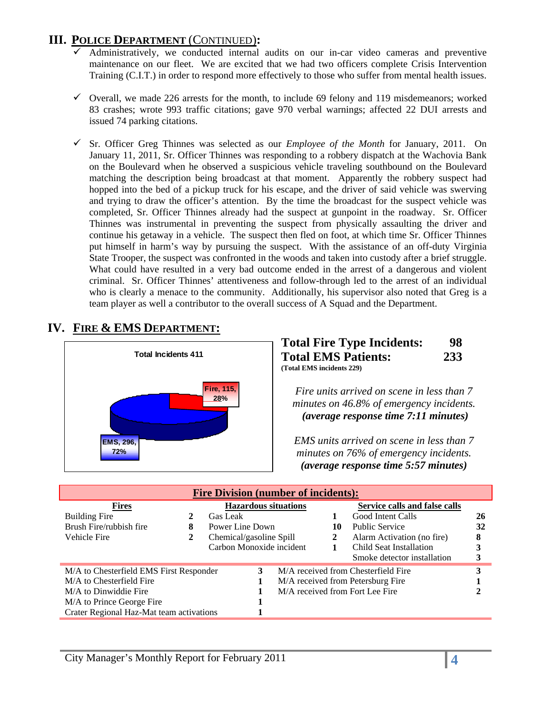# **III. POLICE DEPARTMENT** (CONTINUED)**:**

- 9 Administratively, we conducted internal audits on our in-car video cameras and preventive maintenance on our fleet. We are excited that we had two officers complete Crisis Intervention Training (C.I.T.) in order to respond more effectively to those who suffer from mental health issues.
- $\checkmark$  Overall, we made 226 arrests for the month, to include 69 felony and 119 misdemeanors; worked 83 crashes; wrote 993 traffic citations; gave 970 verbal warnings; affected 22 DUI arrests and issued 74 parking citations.
- 9 Sr. Officer Greg Thinnes was selected as our *Employee of the Month* for January, 2011. On January 11, 2011, Sr. Officer Thinnes was responding to a robbery dispatch at the Wachovia Bank on the Boulevard when he observed a suspicious vehicle traveling southbound on the Boulevard matching the description being broadcast at that moment. Apparently the robbery suspect had hopped into the bed of a pickup truck for his escape, and the driver of said vehicle was swerving and trying to draw the officer's attention. By the time the broadcast for the suspect vehicle was completed, Sr. Officer Thinnes already had the suspect at gunpoint in the roadway. Sr. Officer Thinnes was instrumental in preventing the suspect from physically assaulting the driver and continue his getaway in a vehicle. The suspect then fled on foot, at which time Sr. Officer Thinnes put himself in harm's way by pursuing the suspect. With the assistance of an off-duty Virginia State Trooper, the suspect was confronted in the woods and taken into custody after a brief struggle. What could have resulted in a very bad outcome ended in the arrest of a dangerous and violent criminal. Sr. Officer Thinnes' attentiveness and follow-through led to the arrest of an individual who is clearly a menace to the community. Additionally, his supervisor also noted that Greg is a team player as well a contributor to the overall success of A Squad and the Department.

# **IV. FIRE & EMS DEPARTMENT:**



## **Total Fire Type Incidents: 98 Total EMS Patients: 233 (Total EMS incidents 229)**

*Fire units arrived on scene in less than 7 minutes on 46.8% of emergency incidents.*  <sup>U</sup>*(average response time 7:11 minutes)*

*EMS units arrived on scene in less than 7 minutes on 76% of emergency incidents.*  <sup>U</sup>*(average response time 5:57 minutes)* 

| <b>Fire Division (number of incidents):</b> |   |                          |   |                             |    |                                     |    |  |
|---------------------------------------------|---|--------------------------|---|-----------------------------|----|-------------------------------------|----|--|
| <b>Fires</b>                                |   |                          |   | <b>Hazardous situations</b> |    | Service calls and false calls       |    |  |
| <b>Building Fire</b>                        |   | Gas Leak                 |   |                             |    | Good Intent Calls                   | 26 |  |
| Brush Fire/rubbish fire                     | 8 | Power Line Down          |   |                             | 10 | <b>Public Service</b>               | 32 |  |
| Vehicle Fire                                | 2 | Chemical/gasoline Spill  |   |                             | 2  | Alarm Activation (no fire)          | 8  |  |
|                                             |   | Carbon Monoxide incident |   |                             |    | Child Seat Installation             | 3  |  |
|                                             |   |                          |   |                             |    | Smoke detector installation         |    |  |
| M/A to Chesterfield EMS First Responder     |   |                          | 3 |                             |    | M/A received from Chesterfield Fire | 3  |  |
| M/A to Chesterfield Fire                    |   |                          |   |                             |    | M/A received from Petersburg Fire   |    |  |
| M/A to Dinwiddie Fire                       |   |                          |   |                             |    | M/A received from Fort Lee Fire     |    |  |
| M/A to Prince George Fire                   |   |                          |   |                             |    |                                     |    |  |
| Crater Regional Haz-Mat team activations    |   |                          |   |                             |    |                                     |    |  |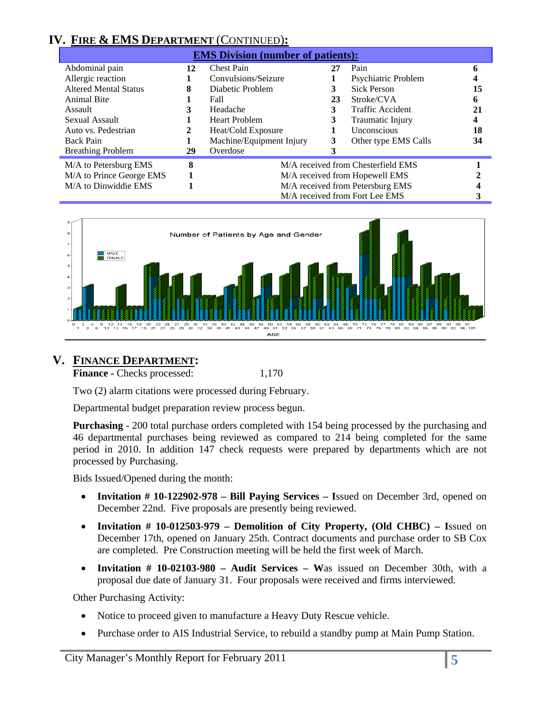# **IV. FIRE & EMS DEPARTMENT** (CONTINUED)**:**

| <b>EMS Division (number of patients):</b> |    |                                    |                                  |                      |    |  |  |  |  |
|-------------------------------------------|----|------------------------------------|----------------------------------|----------------------|----|--|--|--|--|
| Abdominal pain                            | 12 | <b>Chest Pain</b>                  | 27                               | Pain                 | 6  |  |  |  |  |
| Allergic reaction                         |    | Convulsions/Seizure                |                                  | Psychiatric Problem  |    |  |  |  |  |
| <b>Altered Mental Status</b>              | 8  | Diabetic Problem                   | 3                                | <b>Sick Person</b>   | 15 |  |  |  |  |
| <b>Animal Bite</b>                        |    | Fall                               | 23                               | Stroke/CVA           | 6  |  |  |  |  |
| Assault                                   | 3  | Headache                           | 3                                | Traffic Accident     | 21 |  |  |  |  |
| Sexual Assault                            |    | <b>Heart Problem</b>               | 3                                | Traumatic Injury     | 4  |  |  |  |  |
| Auto vs. Pedestrian                       | 2  | Heat/Cold Exposure                 |                                  | <b>Unconscious</b>   | 18 |  |  |  |  |
| <b>Back Pain</b>                          |    | Machine/Equipment Injury           | 3                                | Other type EMS Calls | 34 |  |  |  |  |
| <b>Breathing Problem</b>                  | 29 | Overdose                           |                                  |                      |    |  |  |  |  |
| M/A to Petersburg EMS                     | 8  | M/A received from Chesterfield EMS |                                  |                      |    |  |  |  |  |
| M/A to Prince George EMS                  |    | M/A received from Hopewell EMS     |                                  |                      |    |  |  |  |  |
| M/A to Dinwiddie EMS                      |    |                                    | M/A received from Petersburg EMS |                      |    |  |  |  |  |
|                                           |    |                                    | M/A received from Fort Lee EMS   |                      |    |  |  |  |  |



# **V. FINANCE DEPARTMENT:**

**Finance - Checks processed:** 1,170

Two (2) alarm citations were processed during February.

Departmental budget preparation review process begun.

**Purchasing** - 200 total purchase orders completed with 154 being processed by the purchasing and 46 departmental purchases being reviewed as compared to 214 being completed for the same period in 2010. In addition 147 check requests were prepared by departments which are not processed by Purchasing.

Bids Issued/Opened during the month:

- **Invitation # 10-122902-978 Bill Paying Services I**ssued on December 3rd, opened on December 22nd. Five proposals are presently being reviewed.
- **Invitation # 10-012503-979 Demolition of City Property, (Old CHBC) I**ssued on December 17th, opened on January 25th. Contract documents and purchase order to SB Cox are completed. Pre Construction meeting will be held the first week of March.
- **Invitation # 10-02103-980 Audit Services W**as issued on December 30th, with a proposal due date of January 31. Four proposals were received and firms interviewed.

Other Purchasing Activity:

- Notice to proceed given to manufacture a Heavy Duty Rescue vehicle.
- Purchase order to AIS Industrial Service, to rebuild a standby pump at Main Pump Station.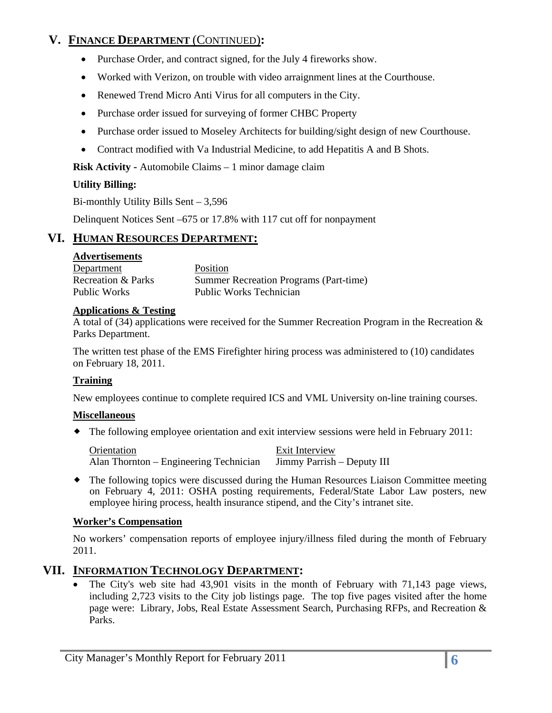# **V. FINANCE DEPARTMENT** (CONTINUED)**:**

- Purchase Order, and contract signed, for the July 4 fireworks show.
- Worked with Verizon, on trouble with video arraignment lines at the Courthouse.
- Renewed Trend Micro Anti Virus for all computers in the City.
- Purchase order issued for surveying of former CHBC Property
- Purchase order issued to Moseley Architects for building/sight design of new Courthouse.
- Contract modified with Va Industrial Medicine, to add Hepatitis A and B Shots.

**Risk Activity -** Automobile Claims – 1 minor damage claim

#### **Utility Billing:**

Bi-monthly Utility Bills Sent – 3,596

Delinquent Notices Sent –675 or 17.8% with 117 cut off for nonpayment

# **VI. HUMAN RESOURCES DEPARTMENT:**

#### **Advertisements**

| Department         | <b>Position</b>                               |
|--------------------|-----------------------------------------------|
| Recreation & Parks | <b>Summer Recreation Programs (Part-time)</b> |
| Public Works       | <b>Public Works Technician</b>                |

#### **Applications & Testing**

A total of (34) applications were received for the Summer Recreation Program in the Recreation & Parks Department.

The written test phase of the EMS Firefighter hiring process was administered to (10) candidates on February 18, 2011.

## **Training**

New employees continue to complete required ICS and VML University on-line training courses.

#### **Miscellaneous**

The following employee orientation and exit interview sessions were held in February 2011:

| Orientation                            | Exit Interview             |
|----------------------------------------|----------------------------|
| Alan Thornton – Engineering Technician | Jimmy Parrish – Deputy III |

 The following topics were discussed during the Human Resources Liaison Committee meeting on February 4, 2011: OSHA posting requirements, Federal/State Labor Law posters, new employee hiring process, health insurance stipend, and the City's intranet site.

## **Worker's Compensation**

No workers' compensation reports of employee injury/illness filed during the month of February 2011.

# **VII. INFORMATION TECHNOLOGY DEPARTMENT:**

• The City's web site had 43,901 visits in the month of February with 71,143 page views, including 2,723 visits to the City job listings page. The top five pages visited after the home page were: Library, Jobs, Real Estate Assessment Search, Purchasing RFPs, and Recreation & Parks.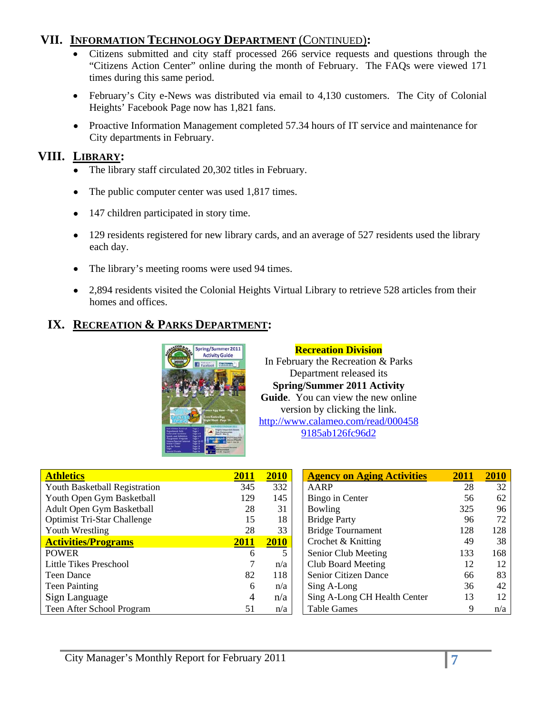# **VII. INFORMATION TECHNOLOGY DEPARTMENT** (CONTINUED)**:**

- Citizens submitted and city staff processed 266 service requests and questions through the "Citizens Action Center" online during the month of February. The FAQs were viewed 171 times during this same period.
- February's City e-News was distributed via email to 4,130 customers. The City of Colonial Heights' Facebook Page now has 1,821 fans.
- Proactive Information Management completed 57.34 hours of IT service and maintenance for City departments in February.

# **VIII. LIBRARY:**

- The library staff circulated 20,302 titles in February.
- The public computer center was used 1,817 times.
- 147 children participated in story time.
- 129 residents registered for new library cards, and an average of 527 residents used the library each day.
- The library's meeting rooms were used 94 times.
- 2,894 residents visited the Colonial Heights Virtual Library to retrieve 528 articles from their homes and offices.

# **IX. RECREATION & PARKS DEPARTMENT:**



**Recreation Division**  In February the Recreation & Parks Department released its **Spring/Summer 2011 Activity Guide**. You can view the new online version by clicking the link. http://www.calameo.com/read/000458 9185ab126fc96d2

| <b>Athletics</b>                     | 2011 | 2010 | <b>Agency on Aging Activities</b> | 2011 | 2010 |
|--------------------------------------|------|------|-----------------------------------|------|------|
| <b>Youth Basketball Registration</b> | 345  | 332  | AARP                              | 28   | 32   |
| Youth Open Gym Basketball            | 129  | 145  | Bingo in Center                   | 56   | 62   |
| Adult Open Gym Basketball            | 28   | 31   | <b>Bowling</b>                    | 325  | 96   |
| <b>Optimist Tri-Star Challenge</b>   | 15   | 18   | <b>Bridge Party</b>               | 96   | 72   |
| Youth Wrestling                      | 28   | 33   | <b>Bridge Tournament</b>          | 128  | 128  |
| <b>Activities/Programs</b>           | 2011 | 2010 | Crochet & Knitting                | 49   | 38   |
| <b>POWER</b>                         | 6    |      | Senior Club Meeting               | 133  | 168  |
| Little Tikes Preschool               |      | n/a  | Club Board Meeting                | 12   | 12   |
| <b>Teen Dance</b>                    | 82   | 118  | Senior Citizen Dance              | 66   | 83   |
| <b>Teen Painting</b>                 | 6    | n/a  | Sing A-Long                       | 36   | 42   |
| Sign Language                        | 4    | n/a  | Sing A-Long CH Health Center      | 13   | 12   |
| Teen After School Program            | 51   | n/a  | <b>Table Games</b>                |      | n/a  |

| <b>Agency on Aging Activities</b> | 2011 | 2010 |
|-----------------------------------|------|------|
| AARP                              | 28   | 32   |
| Bingo in Center                   | 56   | 62   |
| Bowling                           | 325  | 96   |
| <b>Bridge Party</b>               | 96   | 72   |
| <b>Bridge Tournament</b>          | 128  | 128  |
| Crochet & Knitting                | 49   | 38   |
| Senior Club Meeting               | 133  | 168  |
| Club Board Meeting                | 12   | 12   |
| <b>Senior Citizen Dance</b>       | 66   | 83   |
| Sing A-Long                       | 36   | 42   |
| Sing A-Long CH Health Center      | 13   | 12   |
| <b>Table Games</b>                |      | n/a  |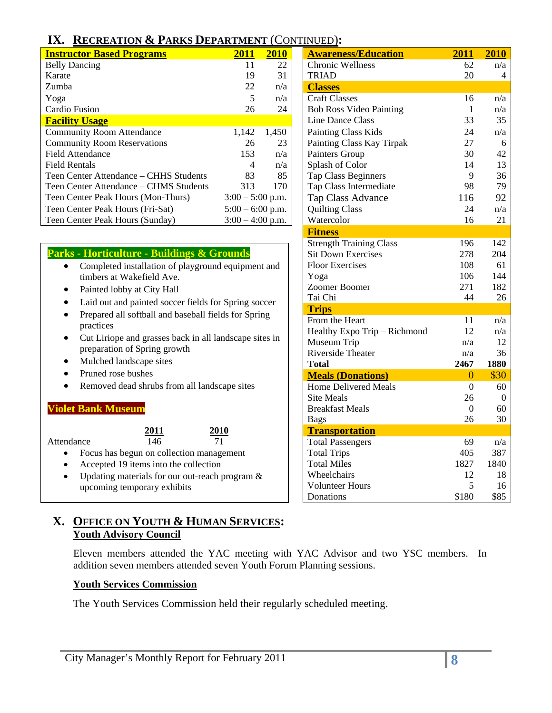# **IX. RECREATION & P**

| <b>Instructor Based Programs</b>       | 2011               | 2010  | <b>Awareness/Education</b>     | 2011 | 2010 |
|----------------------------------------|--------------------|-------|--------------------------------|------|------|
| <b>Belly Dancing</b>                   | 11                 | 22    | <b>Chronic Wellness</b>        | 62   | n/a  |
| Karate                                 | 19                 | 31    | <b>TRIAD</b>                   | 20   | 4    |
| Zumba                                  | 22                 | n/a   | <b>Classes</b>                 |      |      |
| Yoga                                   | 5                  | n/a   | <b>Craft Classes</b>           | 16   | n/a  |
| Cardio Fusion                          | 26                 | 24    | <b>Bob Ross Video Painting</b> |      | n/a  |
| <b>Facility Usage</b>                  |                    |       | Line Dance Class               | 33   | 35   |
| <b>Community Room Attendance</b>       | 1,142              | 1,450 | <b>Painting Class Kids</b>     | 24   | n/a  |
| <b>Community Room Reservations</b>     | 26                 | 23    | Painting Class Kay Tirpak      | 27   | 6    |
| <b>Field Attendance</b>                | 153                | n/a   | Painters Group                 | 30   | 42   |
| <b>Field Rentals</b>                   | 4                  | n/a   | Splash of Color                | 14   | 13   |
| Teen Center Attendance – CHHS Students | 83                 | 85    | <b>Tap Class Beginners</b>     | 9    | 36   |
| Teen Center Attendance - CHMS Students | 313                | 170   | Tap Class Intermediate         | 98   | 79   |
| Teen Center Peak Hours (Mon-Thurs)     | $3:00 - 5:00$ p.m. |       | Tap Class Advance              | 116  | 92   |
| Teen Center Peak Hours (Fri-Sat)       | $5:00 - 6:00$ p.m. |       | <b>Quilting Class</b>          | 24   | n/a  |
| Teen Center Peak Hours (Sunday)        | $3:00 - 4:00$ p.m. |       | Watercolor                     | 16   | 21   |

|  | <b>Parks - Horticulture - Buildings &amp; Grounds</b> |  |
|--|-------------------------------------------------------|--|
|  |                                                       |  |

- 
- 
- 
- practices
- Cut Liriope and grasse preparation of Spring
- Mulched landscape sites **Total Total Total 2467** 1880
	- Pruned rose bushes
- Removed dead shrubs from all landscape sites | Home Delivered Meals 0 60

#### Site Meals 26 0 Breakfast Meals 0 60 **Violet Bank Museum**

Attendance

- $\frac{2011}{146}$   $\frac{2010}{71}$   $\frac{1}{\text{Total passenger}}$ **2011 2010**
- Focus has begun on collection management  $\vert$  Total Trips 405 387
- Accepted 19 items into the collection | Total Miles 1827 1840
- Updating materials for our out-reach program  $\&$  | Wheelchairs 12 18 upcoming temporary exhibits  $\begin{array}{|c|c|c|c|c|c|c|c|c|} \hline \end{array}$  Volunteer Hours 5 16  $\vert$  Donations \$180 \$85

# **X. OFFICE ON YOUTH & HUMAN SERVICES: Youth Advisory Council**

Eleven members attended the YAC meeting with YAC Advisor and two YSC members. In addition seven members attended seven Youth Forum Planning sessions.

 $\begin{array}{|c|c|c|c|c|}\n\hline\n&\text{Bags} &\text{26} &\text{30}\n\end{array}$ 

#### **Youth Services Commission**

The Youth Services Commission held their regularly scheduled meeting.

| IX. RECREATION & PARKS DEPARTMENT (CONTINUED):                  |                    |       |                                |      |      |
|-----------------------------------------------------------------|--------------------|-------|--------------------------------|------|------|
| <b>Instructor Based Programs</b>                                | 2011               | 2010  | <b>Awareness/Education</b>     | 2011 | 2010 |
| <b>Belly Dancing</b>                                            | 11                 | 22    | <b>Chronic Wellness</b>        | 62   | n/a  |
| Karate                                                          | 19                 | 31    | <b>TRIAD</b>                   | 20   | 4    |
| Zumba                                                           | 22                 | n/a   | <b>Classes</b>                 |      |      |
| Yoga                                                            | 5                  | n/a   | Craft Classes                  | 16   | n/a  |
| Cardio Fusion                                                   | 26                 | 24    | <b>Bob Ross Video Painting</b> | 1    | n/a  |
| <b>Facility Usage</b>                                           |                    |       | <b>Line Dance Class</b>        | 33   | 35   |
| <b>Community Room Attendance</b>                                | 1,142              | 1,450 | Painting Class Kids            | 24   | n/a  |
| <b>Community Room Reservations</b>                              | 26                 | 23    | Painting Class Kay Tirpak      | 27   | 6    |
| <b>Field Attendance</b>                                         | 153                | n/a   | Painters Group                 | 30   | 42   |
| <b>Field Rentals</b>                                            | 4                  | n/a   | Splash of Color                | 14   | 13   |
| Teen Center Attendance - CHHS Students                          | 83                 | 85    | <b>Tap Class Beginners</b>     | 9    | 36   |
| Teen Center Attendance - CHMS Students                          | 313                | 170   | Tap Class Intermediate         | 98   | 79   |
| Teen Center Peak Hours (Mon-Thurs)                              | $3:00 - 5:00$ p.m. |       | Tap Class Advance              | 116  | 92   |
| Teen Center Peak Hours (Fri-Sat)                                | $5:00 - 6:00$ p.m. |       | <b>Quilting Class</b>          | 24   | n/a  |
| Teen Center Peak Hours (Sunday)                                 | $3:00 - 4:00$ p.m. |       | Watercolor                     | 16   | 21   |
|                                                                 |                    |       | <b>Fitness</b>                 |      |      |
|                                                                 |                    |       | <b>Strength Training Class</b> | 196  | 142  |
| <b>Parks - Horticulture - Buildings &amp; Grounds</b>           |                    |       | <b>Sit Down Exercises</b>      | 278  | 204  |
| Completed installation of playground equipment and<br>$\bullet$ |                    |       | <b>Floor Exercises</b>         | 108  | 61   |
| timbers at Wakefield Ave.                                       |                    |       | Yoga                           | 106  | 144  |
| Painted lobby at City Hall<br>$\bullet$                         |                    |       | Zoomer Boomer                  | 271  | 182  |
| Laid out and painted soccer fields for Spring soccer<br>٠       |                    |       | Tai Chi                        | 44   | 26   |
| Prepared all softball and baseball fields for Spring            |                    |       | <b>Trips</b>                   |      |      |
| practices                                                       |                    |       | From the Heart                 | 11   | n/a  |
| Cut Liriope and grasses back in all landscape sites in          |                    |       | Healthy Expo Trip - Richmond   | 12   | n/a  |
| preparation of Spring growth                                    |                    |       | Museum Trip                    | n/a  | 12   |
|                                                                 |                    |       | <b>Riverside Theater</b>       | n/a  | 36   |

**Meals (Donations)** 0 \$30<br>
Home Delivered Meals 0 60

Total Passengers 69 n/a